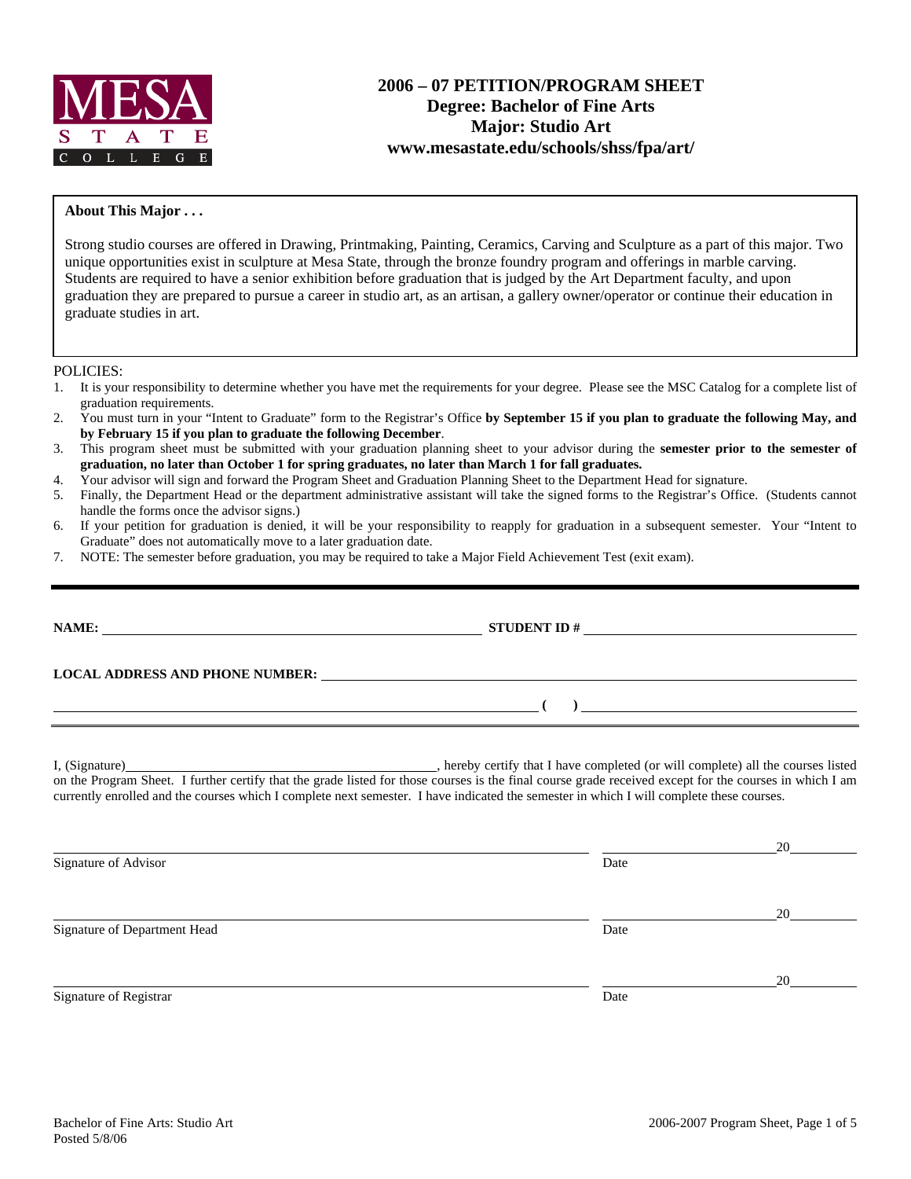

# **2006 – 07 PETITION/PROGRAM SHEET Degree: Bachelor of Fine Arts Major: Studio Art www.mesastate.edu/schools/shss/fpa/art/**

#### **About This Major . . .**

Strong studio courses are offered in Drawing, Printmaking, Painting, Ceramics, Carving and Sculpture as a part of this major. Two unique opportunities exist in sculpture at Mesa State, through the bronze foundry program and offerings in marble carving. Students are required to have a senior exhibition before graduation that is judged by the Art Department faculty, and upon graduation they are prepared to pursue a career in studio art, as an artisan, a gallery owner/operator or continue their education in graduate studies in art.

POLICIES:

- 1. It is your responsibility to determine whether you have met the requirements for your degree. Please see the MSC Catalog for a complete list of graduation requirements.
- 2. You must turn in your "Intent to Graduate" form to the Registrar's Office **by September 15 if you plan to graduate the following May, and by February 15 if you plan to graduate the following December**.
- 3. This program sheet must be submitted with your graduation planning sheet to your advisor during the **semester prior to the semester of graduation, no later than October 1 for spring graduates, no later than March 1 for fall graduates.**
- 4. Your advisor will sign and forward the Program Sheet and Graduation Planning Sheet to the Department Head for signature.
- 5. Finally, the Department Head or the department administrative assistant will take the signed forms to the Registrar's Office. (Students cannot handle the forms once the advisor signs.)
- 6. If your petition for graduation is denied, it will be your responsibility to reapply for graduation in a subsequent semester. Your "Intent to Graduate" does not automatically move to a later graduation date.
- 7. NOTE: The semester before graduation, you may be required to take a Major Field Achievement Test (exit exam).

|                              | LOCAL ADDRESS AND PHONE NUMBER: Under the contract of the contract of the contract of the contract of the contract of the contract of the contract of the contract of the contract of the contract of the contract of the cont                                                                      |    |
|------------------------------|-----------------------------------------------------------------------------------------------------------------------------------------------------------------------------------------------------------------------------------------------------------------------------------------------------|----|
|                              | $\overline{a}$ (b) and the contract of $\overline{a}$ (c) and $\overline{a}$ (c) and $\overline{a}$ (c) and $\overline{a}$ (c) and $\overline{a}$ (c) and $\overline{a}$ (c) and $\overline{a}$ (c) and $\overline{a}$ (c) and $\overline{a}$ (c) and $\overline{a}$ (c) and $\overline{a}$ (c) and |    |
|                              | on the Program Sheet. I further certify that the grade listed for those courses is the final course grade received except for the courses in which I am<br>currently enrolled and the courses which I complete next semester. I have indicated the semester in which I will complete these courses. |    |
| Signature of Advisor         | Date                                                                                                                                                                                                                                                                                                |    |
| Signature of Department Head | Date                                                                                                                                                                                                                                                                                                | 20 |

Signature of Registrar Date and Separature of Registrar Date and Separature of Registrar Date

<u>20</u>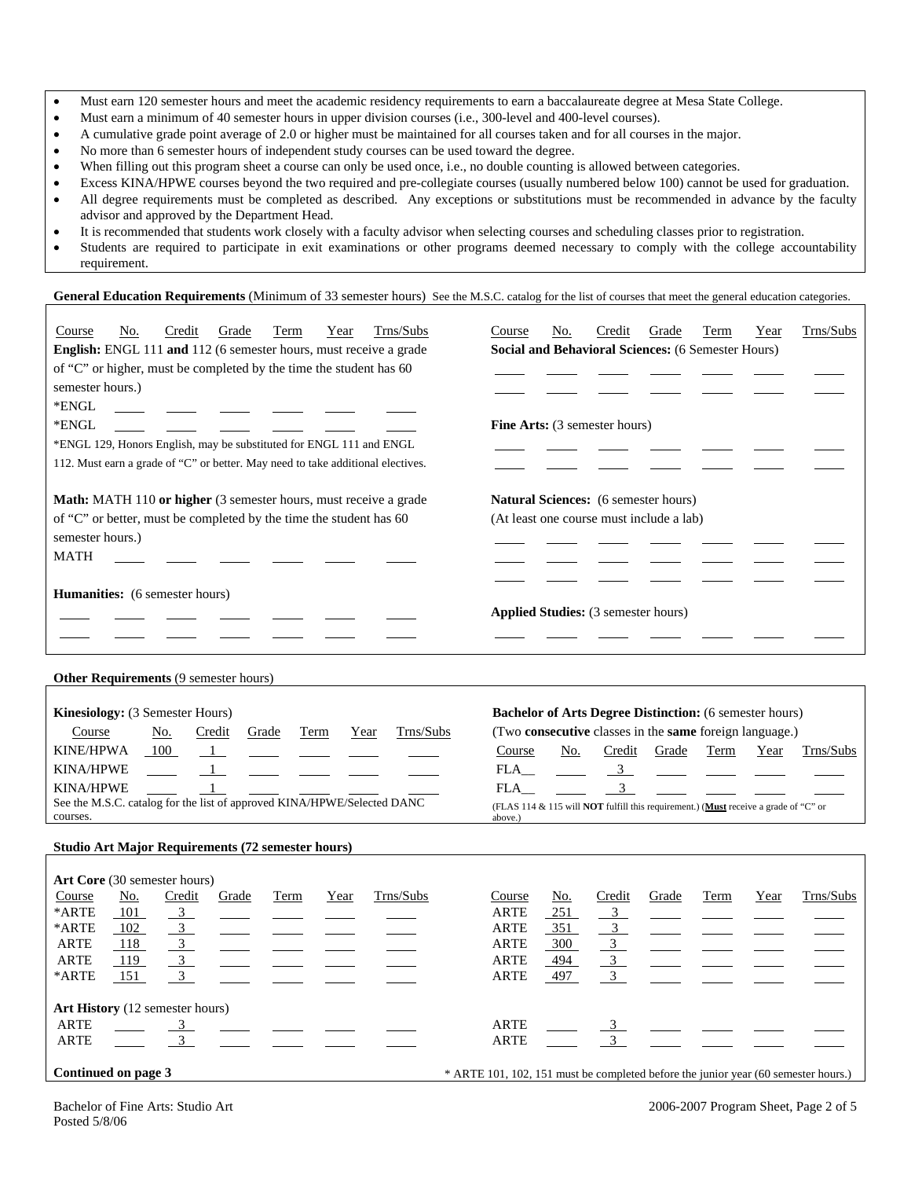- Must earn 120 semester hours and meet the academic residency requirements to earn a baccalaureate degree at Mesa State College.
- Must earn a minimum of 40 semester hours in upper division courses (i.e., 300-level and 400-level courses).
- A cumulative grade point average of 2.0 or higher must be maintained for all courses taken and for all courses in the major.
- No more than 6 semester hours of independent study courses can be used toward the degree.
- When filling out this program sheet a course can only be used once, i.e., no double counting is allowed between categories.
- Excess KINA/HPWE courses beyond the two required and pre-collegiate courses (usually numbered below 100) cannot be used for graduation.
- All degree requirements must be completed as described. Any exceptions or substitutions must be recommended in advance by the faculty advisor and approved by the Department Head.
- It is recommended that students work closely with a faculty advisor when selecting courses and scheduling classes prior to registration.
- Students are required to participate in exit examinations or other programs deemed necessary to comply with the college accountability requirement.

#### General Education Requirements (Minimum of 33 semester hours) See the M.S.C. catalog for the list of courses that meet the general education categories.

| Trns/Subs<br>Course<br>No.<br>Credit<br>Grade<br>Term<br>Year<br>English: ENGL 111 and 112 (6 semester hours, must receive a grade<br>of "C" or higher, must be completed by the time the student has 60<br>semester hours.)<br>$\rm *ENGL$<br>*ENGL<br>*ENGL 129, Honors English, may be substituted for ENGL 111 and ENGL<br>112. Must earn a grade of "C" or better. May need to take additional electives. | Trns/Subs<br>Course<br>No.<br>Credit<br>Grade<br>Term<br>Year<br>Social and Behavioral Sciences: (6 Semester Hours)<br>Fine Arts: (3 semester hours)                                                                                                                                                                            |
|----------------------------------------------------------------------------------------------------------------------------------------------------------------------------------------------------------------------------------------------------------------------------------------------------------------------------------------------------------------------------------------------------------------|---------------------------------------------------------------------------------------------------------------------------------------------------------------------------------------------------------------------------------------------------------------------------------------------------------------------------------|
| Math: MATH 110 or higher (3 semester hours, must receive a grade<br>of "C" or better, must be completed by the time the student has 60<br>semester hours.)<br>MATH                                                                                                                                                                                                                                             | Natural Sciences: (6 semester hours)<br>(At least one course must include a lab)                                                                                                                                                                                                                                                |
| Humanities: (6 semester hours)                                                                                                                                                                                                                                                                                                                                                                                 | Applied Studies: (3 semester hours)                                                                                                                                                                                                                                                                                             |
| Other Requirements (9 semester hours)                                                                                                                                                                                                                                                                                                                                                                          |                                                                                                                                                                                                                                                                                                                                 |
| Kinesiology: (3 Semester Hours)<br>Trns/Subs<br>Course<br><u>No.</u><br>Credit<br>Grade<br>Term<br>Year<br><b>KINE/HPWA</b><br>100<br>$\mathbf{1}$<br><b>KINA/HPWE</b><br><b>KINA/HPWE</b><br>See the M.S.C. catalog for the list of approved KINA/HPWE/Selected DANC<br>courses.<br><b>Studio Art Major Requirements (72 semester hours)</b>                                                                  | <b>Bachelor of Arts Degree Distinction:</b> (6 semester hours)<br>(Two consecutive classes in the same foreign language.)<br>Course<br>Credit<br>Trns/Subs<br>No.<br>Grade<br>Term<br>Year<br>FLA<br>$\mathbf{3}$<br>3<br>FLA<br>(FLAS 114 & 115 will NOT fulfill this requirement.) (Must receive a grade of "C" or<br>above.) |
| Art Core (30 semester hours)<br>Trns/Subs<br>Course<br><u>No.</u><br>Credit<br>Grade<br><b>Term</b><br>Year<br>*ARTE<br>101<br>3<br>*ARTE<br>102<br>3<br><b>ARTE</b><br>118<br>3<br>$\mathfrak{Z}$<br><b>ARTE</b><br>119<br>151<br>3 <sup>7</sup><br>*ARTE                                                                                                                                                     | Course<br><u>No.</u><br>Credit<br>Grade<br>Trns/Subs<br>Term<br>Year<br>251<br><b>ARTE</b><br>3<br>ARTE<br>351<br>$\mathfrak{Z}$<br><b>ARTE</b><br>300<br>494<br>ARTE<br>$\overline{3}$<br>$\mathfrak{Z}$<br>497<br>ARTE                                                                                                        |
| Art History (12 semester hours)<br>ARTE<br>$\overline{3}$<br><b>ARTE</b>                                                                                                                                                                                                                                                                                                                                       | ARTE<br>$\overline{3}$<br><b>ARTE</b>                                                                                                                                                                                                                                                                                           |

**Continued on page 3** \* ARTE 101, 102, 151 must be completed before the junior year (60 semester hours.)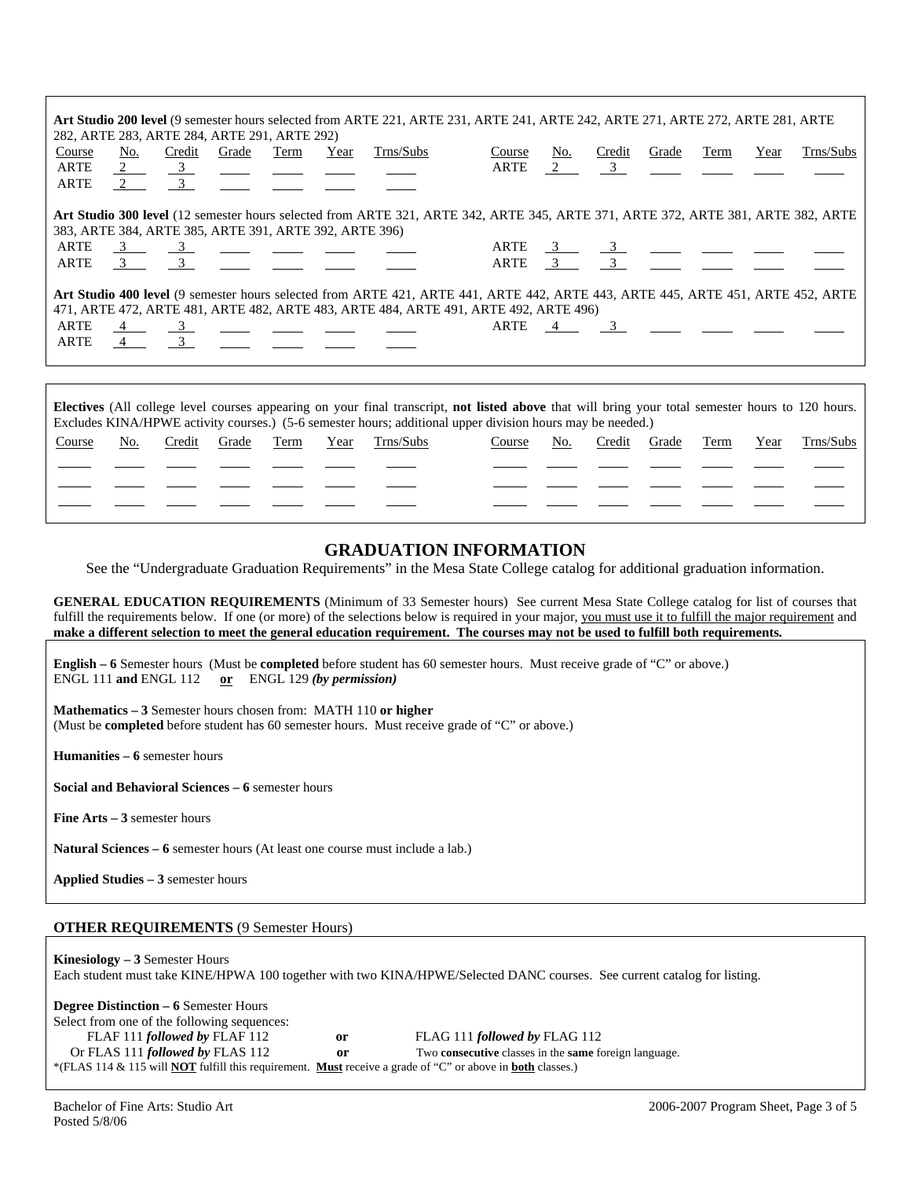|                |     |                                       | 282, ARTE 283, ARTE 284, ARTE 291, ARTE 292)                                                                                                                                                                                                                                                                        |      |      | Art Studio 200 level (9 semester hours selected from ARTE 221, ARTE 231, ARTE 241, ARTE 242, ARTE 271, ARTE 272, ARTE 281, ARTE  |                |          |                                                                                                                                                                                                                                                                                                                        |       |      |      |           |
|----------------|-----|---------------------------------------|---------------------------------------------------------------------------------------------------------------------------------------------------------------------------------------------------------------------------------------------------------------------------------------------------------------------|------|------|----------------------------------------------------------------------------------------------------------------------------------|----------------|----------|------------------------------------------------------------------------------------------------------------------------------------------------------------------------------------------------------------------------------------------------------------------------------------------------------------------------|-------|------|------|-----------|
| Course<br>ARTE | No. | Credit<br>$\frac{2}{3}$ $\frac{3}{3}$ | Grade                                                                                                                                                                                                                                                                                                               | Term | Year | Trns/Subs                                                                                                                        | Course<br>ARTE | No.<br>2 | Credit<br>$\overline{\mathbf{3}}$                                                                                                                                                                                                                                                                                      | Grade | Term | Year | Trns/Subs |
| ARTE           | 2 3 |                                       |                                                                                                                                                                                                                                                                                                                     |      |      |                                                                                                                                  |                |          |                                                                                                                                                                                                                                                                                                                        |       |      |      |           |
|                |     |                                       |                                                                                                                                                                                                                                                                                                                     |      |      | Art Studio 300 level (12 semester hours selected from ARTE 321, ARTE 342, ARTE 345, ARTE 371, ARTE 372, ARTE 381, ARTE 382, ARTE |                |          |                                                                                                                                                                                                                                                                                                                        |       |      |      |           |
|                |     |                                       | 383, ARTE 384, ARTE 385, ARTE 391, ARTE 392, ARTE 396)                                                                                                                                                                                                                                                              |      |      |                                                                                                                                  |                |          |                                                                                                                                                                                                                                                                                                                        |       |      |      |           |
| ARTE           |     |                                       | $\frac{3}{2}$ $\frac{3}{2}$ $\frac{3}{2}$ $\frac{3}{2}$ $\frac{3}{2}$ $\frac{3}{2}$ $\frac{3}{2}$ $\frac{3}{2}$ $\frac{3}{2}$ $\frac{3}{2}$ $\frac{3}{2}$ $\frac{3}{2}$ $\frac{3}{2}$ $\frac{3}{2}$ $\frac{3}{2}$ $\frac{3}{2}$ $\frac{3}{2}$ $\frac{3}{2}$ $\frac{3}{2}$ $\frac{3}{2}$ $\frac{3}{2}$ $\frac{3}{2}$ |      |      |                                                                                                                                  |                |          |                                                                                                                                                                                                                                                                                                                        |       |      |      |           |
| ARTE           |     | $3 \qquad \qquad 3$                   |                                                                                                                                                                                                                                                                                                                     |      |      |                                                                                                                                  |                |          | ARTE $\frac{3}{3}$ $\frac{3}{3}$ $\frac{3}{3}$ $\frac{3}{3}$ $\frac{3}{3}$ $\frac{3}{3}$ $\frac{3}{3}$ $\frac{3}{3}$ $\frac{3}{3}$ $\frac{3}{3}$ $\frac{3}{3}$ $\frac{3}{3}$ $\frac{3}{3}$ $\frac{3}{3}$ $\frac{3}{3}$ $\frac{3}{3}$ $\frac{3}{3}$ $\frac{3}{3}$ $\frac{3}{3}$ $\frac{3}{3}$ $\frac{3}{3}$ $\frac{3}{$ |       |      |      |           |
|                |     |                                       |                                                                                                                                                                                                                                                                                                                     |      |      | Art Studio 400 level (9 semester hours selected from ARTE 421, ARTE 441, ARTE 442, ARTE 443, ARTE 445, ARTE 451, ARTE 452, ARTE  |                |          |                                                                                                                                                                                                                                                                                                                        |       |      |      |           |
|                |     |                                       |                                                                                                                                                                                                                                                                                                                     |      |      | 471, ARTE 472, ARTE 481, ARTE 482, ARTE 483, ARTE 484, ARTE 491, ARTE 492, ARTE 496)                                             |                |          |                                                                                                                                                                                                                                                                                                                        |       |      |      |           |
| ARTE           |     |                                       |                                                                                                                                                                                                                                                                                                                     |      |      |                                                                                                                                  |                |          | ARTE 4 3                                                                                                                                                                                                                                                                                                               |       |      |      |           |
| ARTE           |     |                                       |                                                                                                                                                                                                                                                                                                                     |      |      |                                                                                                                                  |                |          |                                                                                                                                                                                                                                                                                                                        |       |      |      |           |
|                |     |                                       |                                                                                                                                                                                                                                                                                                                     |      |      |                                                                                                                                  |                |          |                                                                                                                                                                                                                                                                                                                        |       |      |      |           |
|                |     |                                       |                                                                                                                                                                                                                                                                                                                     |      |      |                                                                                                                                  |                |          |                                                                                                                                                                                                                                                                                                                        |       |      |      |           |

| <b>Electives</b> (All college level courses appearing on your final transcript, not listed above that will bring your total semester hours to 120 hours. |     |        |       |      |      |           |        |     |        |       |      |      |           |
|----------------------------------------------------------------------------------------------------------------------------------------------------------|-----|--------|-------|------|------|-----------|--------|-----|--------|-------|------|------|-----------|
| Excludes KINA/HPWE activity courses.) (5-6 semester hours; additional upper division hours may be needed.)                                               |     |        |       |      |      |           |        |     |        |       |      |      |           |
| Course                                                                                                                                                   | No. | Credit | Grade | Term | Year | Trns/Subs | Course | No. | Credit | Grade | Term | Year | Trns/Subs |
|                                                                                                                                                          |     |        |       |      |      |           |        |     |        |       |      |      |           |
|                                                                                                                                                          |     |        |       |      |      |           |        |     |        |       |      |      |           |
|                                                                                                                                                          |     |        |       |      |      |           |        |     |        |       |      |      |           |
|                                                                                                                                                          |     |        |       |      |      |           |        |     |        |       |      |      |           |
|                                                                                                                                                          |     |        |       |      |      |           |        |     |        |       |      |      |           |

## **GRADUATION INFORMATION**

See the "Undergraduate Graduation Requirements" in the Mesa State College catalog for additional graduation information.

**GENERAL EDUCATION REQUIREMENTS** (Minimum of 33 Semester hours) See current Mesa State College catalog for list of courses that fulfill the requirements below. If one (or more) of the selections below is required in your major, you must use it to fulfill the major requirement and **make a different selection to meet the general education requirement. The courses may not be used to fulfill both requirements.**

**English – 6** Semester hours (Must be **completed** before student has 60 semester hours. Must receive grade of "C" or above.) ENGL 111 **and** ENGL 112 **or** ENGL 129 *(by permission)*

**Mathematics – 3** Semester hours chosen from: MATH 110 **or higher** (Must be **completed** before student has 60 semester hours. Must receive grade of "C" or above.)

**Humanities – 6** semester hours

**Social and Behavioral Sciences – 6** semester hours

**Fine Arts – 3** semester hours

**Natural Sciences – 6** semester hours (At least one course must include a lab.)

**Applied Studies – 3** semester hours

### **OTHER REQUIREMENTS** (9 Semester Hours)

**Kinesiology – 3** Semester Hours Each student must take KINE/HPWA 100 together with two KINA/HPWE/Selected DANC courses. See current catalog for listing.

**Degree Distinction – 6** Semester Hours

Select from one of the following sequences:

FLAF 111 *followed by* FLAF 112 **or** FLAG 111 *followed by* FLAG 112

Or FLAS 111 *followed by* FLAS 112 **or** Two **consecutive** classes in the **same** foreign language.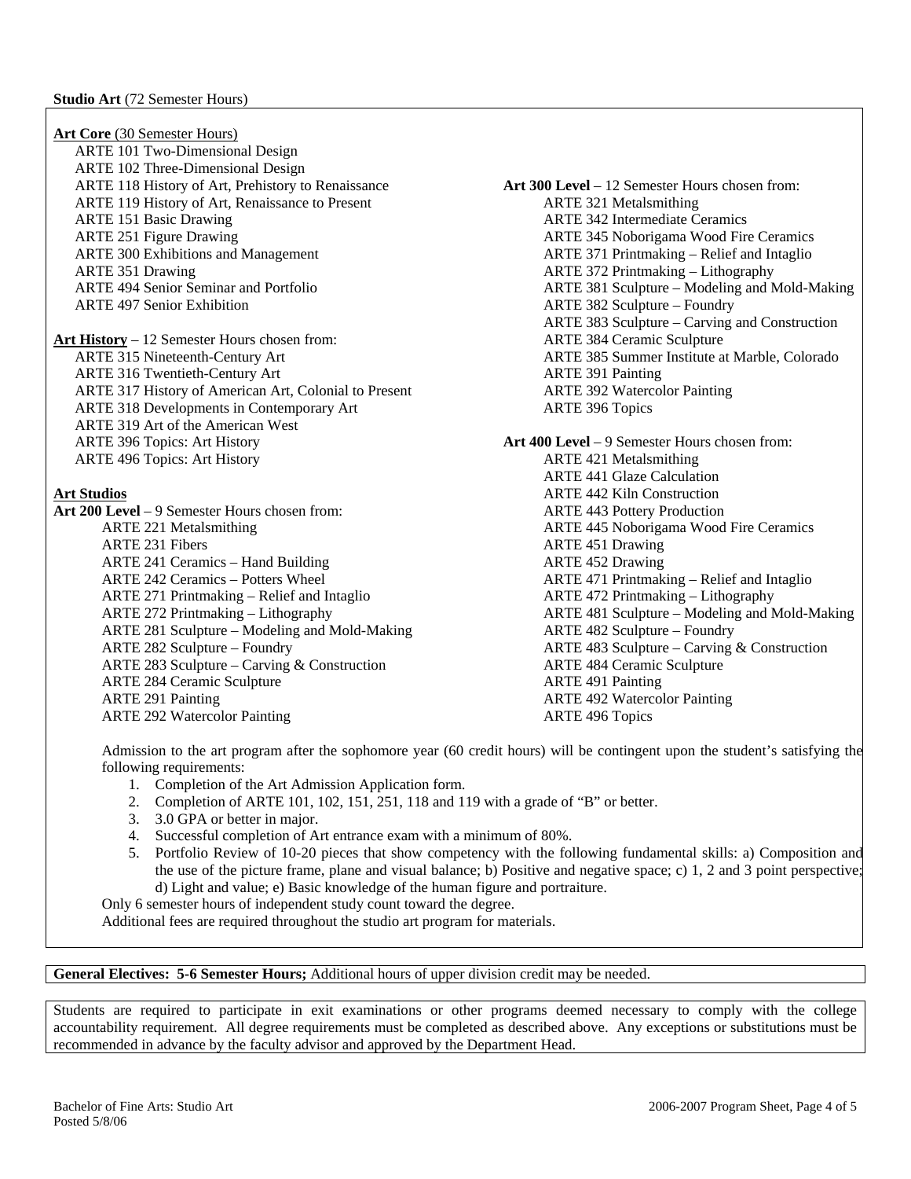**Art Core** (30 Semester Hours) ARTE 101 Two-Dimensional Design ARTE 102 Three-Dimensional Design ARTE 118 History of Art, Prehistory to Renaissance **Art 300 Level** – 12 Semester Hours chosen from: ARTE 119 History of Art, Renaissance to Present ARTE 321 Metalsmithing ARTE 151 Basic Drawing **ARTE 342 Intermediate Ceramics** ARTE 342 Intermediate Ceramics ARTE 251 Figure Drawing ARTE 345 Noborigama Wood Fire Ceramics ARTE 300 Exhibitions and Management ARTE 371 Printmaking – Relief and Intaglio ARTE 351 Drawing ARTE 372 Printmaking – Lithography ARTE 494 Senior Seminar and Portfolio ARTE 381 Sculpture – Modeling and Mold-Making ARTE 497 Senior Exhibition ARTE 382 Sculpture – Foundry ARTE 383 Sculpture – Carving and Construction **Art History** – 12 Semester Hours chosen from: ARTE 384 Ceramic Sculpture ARTE 315 Nineteenth-Century Art ARTE 385 Summer Institute at Marble, Colorado ARTE 316 Twentieth-Century Art ARTE 391 Painting ARTE 317 History of American Art, Colonial to Present ARTE 392 Watercolor Painting ARTE 318 Developments in Contemporary Art ARTE 396 Topics ARTE 319 Art of the American West ARTE 396 Topics: Art History **Art 400 Level** – 9 Semester Hours chosen from: ARTE 496 Topics: Art History **ARTE 421 Metalsmithing** ARTE 441 Glaze Calculation **Art Studios ARTE 442 Kiln Construction Art 200 Level** – 9 Semester Hours chosen from: ARTE 443 Pottery Production ARTE 221 Metalsmithing and a series are a series and a series are a series and ARTE 445 Noborigama Wood Fire Ceramics ARTE 231 Fibers **ARTE 451 Drawing** ARTE 241 Ceramics – Hand Building ARTE 452 Drawing ARTE 242 Ceramics – Potters Wheel ARTE 471 Printmaking – Relief and Intaglio ARTE 271 Printmaking – Relief and Intaglio ARTE 472 Printmaking – Lithography ARTE 272 Printmaking – Lithography ARTE 481 Sculpture – Modeling and Mold-Making ARTE 281 Sculpture – Modeling and Mold-Making ARTE 482 Sculpture – Foundry ARTE 282 Sculpture – Foundry ARTE 483 Sculpture – Carving & Construction ARTE 283 Sculpture – Carving & Construction ARTE 484 Ceramic Sculpture ARTE 284 Ceramic Sculpture ARTE 491 Painting ARTE 291 Painting and the state of the ARTE 492 Watercolor Painting and ARTE 492 Watercolor Painting

Admission to the art program after the sophomore year (60 credit hours) will be contingent upon the student's satisfying the following requirements:

- 1. Completion of the Art Admission Application form.
- 2. Completion of ARTE 101, 102, 151, 251, 118 and 119 with a grade of "B" or better.

ARTE 292 Watercolor Painting ARTE 496 Topics

- 3. 3.0 GPA or better in major.
- 4. Successful completion of Art entrance exam with a minimum of 80%.
- 5. Portfolio Review of 10-20 pieces that show competency with the following fundamental skills: a) Composition and the use of the picture frame, plane and visual balance; b) Positive and negative space; c) 1, 2 and 3 point perspective; d) Light and value; e) Basic knowledge of the human figure and portraiture.
- Only 6 semester hours of independent study count toward the degree.

Additional fees are required throughout the studio art program for materials.

**General Electives: 5-6 Semester Hours;** Additional hours of upper division credit may be needed.

Students are required to participate in exit examinations or other programs deemed necessary to comply with the college accountability requirement. All degree requirements must be completed as described above. Any exceptions or substitutions must be recommended in advance by the faculty advisor and approved by the Department Head.